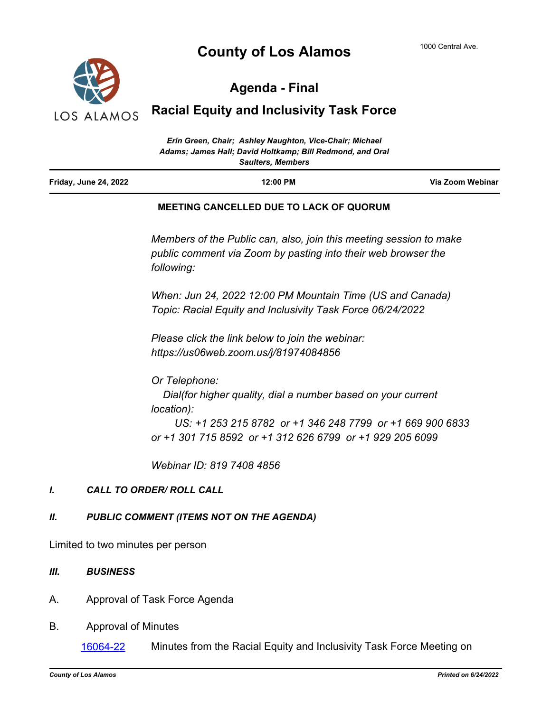# **County of Los Alamos**



# **Agenda - Final**

# **Racial Equity and Inclusivity Task Force**

| Erin Green, Chair; Ashley Naughton, Vice-Chair; Michael<br>Adams; James Hall; David Holtkamp; Bill Redmond, and Oral<br><b>Saulters, Members</b> |                                                                                                                                     |                  |
|--------------------------------------------------------------------------------------------------------------------------------------------------|-------------------------------------------------------------------------------------------------------------------------------------|------------------|
| <b>Friday, June 24, 2022</b>                                                                                                                     | 12:00 PM                                                                                                                            | Via Zoom Webinar |
|                                                                                                                                                  | <b>MEETING CANCELLED DUE TO LACK OF QUORUM</b>                                                                                      |                  |
|                                                                                                                                                  | Members of the Public can, also, join this meeting session to make<br>public comment via Zoom by pasting into their web browser the |                  |

*When: Jun 24, 2022 12:00 PM Mountain Time (US and Canada) Topic: Racial Equity and Inclusivity Task Force 06/24/2022*

*Please click the link below to join the webinar:*

*https://us06web.zoom.us/j/81974084856*

*Or Telephone: Dial(for higher quality, dial a number based on your current location):*

 *US: +1 253 215 8782 or +1 346 248 7799 or +1 669 900 6833 or +1 301 715 8592 or +1 312 626 6799 or +1 929 205 6099* 

*Webinar ID: 819 7408 4856*

### *I. CALL TO ORDER/ ROLL CALL*

#### *II. PUBLIC COMMENT (ITEMS NOT ON THE AGENDA)*

*following:*

Limited to two minutes per person

#### *III. BUSINESS*

- A. Approval of Task Force Agenda
- B. Approval of Minutes

[16064-22](http://losalamos.legistar.com/gateway.aspx?m=l&id=/matter.aspx?key=17632) Minutes from the Racial Equity and Inclusivity Task Force Meeting on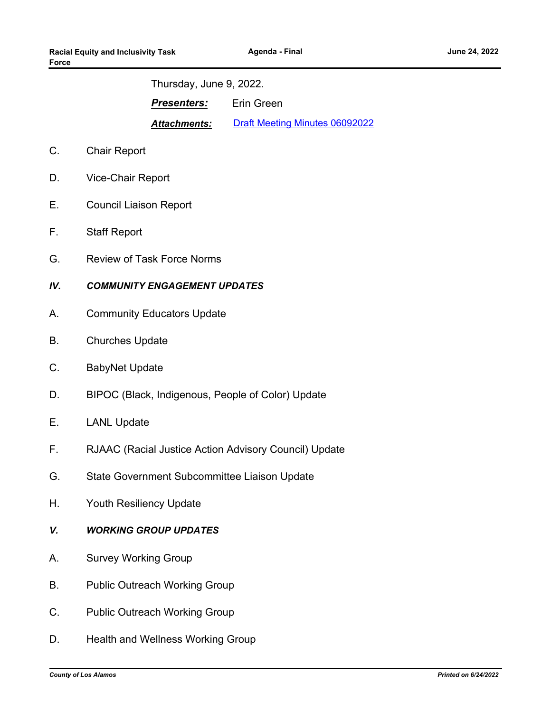Thursday, June 9, 2022.

**Presenters:** Erin Green

*Attachments:* [Draft Meeting Minutes 06092022](http://LosAlamos.legistar.com/gateway.aspx?M=F&ID=d062b8a4-f0ab-4114-8145-bf886965b4f9.pdf)

- C. Chair Report
- D. Vice-Chair Report
- E. Council Liaison Report
- F. Staff Report
- G. Review of Task Force Norms

### *IV. COMMUNITY ENGAGEMENT UPDATES*

- A. Community Educators Update
- B. Churches Update
- C. BabyNet Update
- D. BIPOC (Black, Indigenous, People of Color) Update
- E. LANL Update
- F. RJAAC (Racial Justice Action Advisory Council) Update
- G. State Government Subcommittee Liaison Update
- H. Youth Resiliency Update
- *V. WORKING GROUP UPDATES*
- A. Survey Working Group
- B. Public Outreach Working Group
- C. Public Outreach Working Group
- D. Health and Wellness Working Group